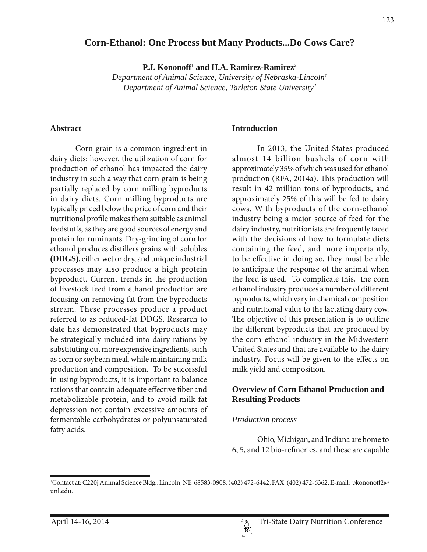### **Corn-Ethanol: One Process but Many Products...Do Cows Care?**

P.J. Kononoff<sup>1</sup> and H.A. Ramirez-Ramirez<sup>2</sup>

*Department of Animal Science, University of Nebraska-Lincoln1 Department of Animal Science, Tarleton State University2*

#### **Abstract**

Corn grain is a common ingredient in dairy diets; however, the utilization of corn for production of ethanol has impacted the dairy industry in such a way that corn grain is being partially replaced by corn milling byproducts in dairy diets. Corn milling byproducts are typically priced below the price of corn and their nutritional profile makes them suitable as animal feedstuffs, as they are good sources of energy and protein for ruminants. Dry-grinding of corn for ethanol produces distillers grains with solubles **(DDGS)**, either wet or dry, and unique industrial processes may also produce a high protein byproduct. Current trends in the production of livestock feed from ethanol production are focusing on removing fat from the byproducts stream. These processes produce a product referred to as reduced-fat DDGS. Research to date has demonstrated that byproducts may be strategically included into dairy rations by substituting out more expensive ingredients, such as corn or soybean meal, while maintaining milk production and composition. To be successful in using byproducts, it is important to balance rations that contain adequate effective fiber and metabolizable protein, and to avoid milk fat depression not contain excessive amounts of fermentable carbohydrates or polyunsaturated fatty acids.

#### **Introduction**

In 2013, the United States produced almost 14 billion bushels of corn with approximately 35% of which was used for ethanol production (RFA, 2014a). This production will result in 42 million tons of byproducts, and approximately 25% of this will be fed to dairy cows. With byproducts of the corn-ethanol industry being a major source of feed for the dairy industry, nutritionists are frequently faced with the decisions of how to formulate diets containing the feed, and more importantly, to be effective in doing so, they must be able to anticipate the response of the animal when the feed is used. To complicate this, the corn ethanol industry produces a number of different byproducts, which vary in chemical composition and nutritional value to the lactating dairy cow. The objective of this presentation is to outline the different byproducts that are produced by the corn-ethanol industry in the Midwestern United States and that are available to the dairy industry. Focus will be given to the effects on milk yield and composition.

#### **Overview of Corn Ethanol Production and Resulting Products**

#### *Production process*

Ohio, Michigan, and Indiana are home to 6, 5, and 12 bio-refineries, and these are capable

<sup>&</sup>lt;sup>1</sup>Contact at: C220j Animal Science Bldg., Lincoln, NE 68583-0908, (402) 472-6442, FAX: (402) 472-6362, E-mail: pkononoff2@ unl.edu.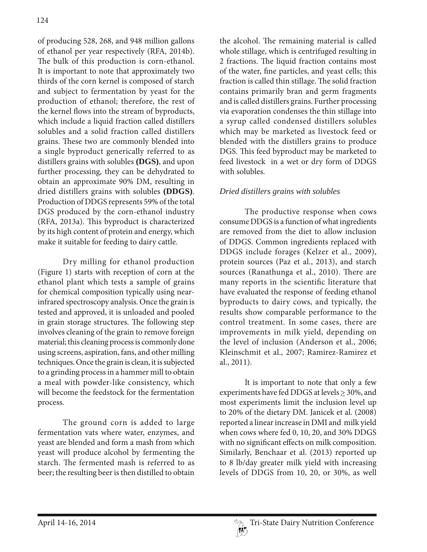of producing 528, 268, and 948 million gallons of ethanol per year respectively (RFA, 2014b). The bulk of this production is corn-ethanol. It is important to note that approximately two thirds of the corn kernel is composed of starch and subject to fermentation by yeast for the production of ethanol; therefore, the rest of the kernel flows into the stream of byproducts, which include a liquid fraction called distillers solubles and a solid fraction called distillers grains. These two are commonly blended into a single byproduct generically referred to as distillers grains with solubles **(DGS)**, and upon further processing, they can be dehydrated to obtain an approximate 90% DM, resulting in dried distillers grains with solubles **(DDGS)**. Production of DDGS represents 59% of the total DGS produced by the corn-ethanol industry (RFA, 2013a). This byproduct is characterized by its high content of protein and energy, which make it suitable for feeding to dairy cattle.

Dry milling for ethanol production (Figure 1) starts with reception of corn at the ethanol plant which tests a sample of grains for chemical composition typically using nearinfrared spectroscopy analysis. Once the grain is tested and approved, it is unloaded and pooled in grain storage structures. The following step involves cleaning of the grain to remove foreign material; this cleaning process is commonly done using screens, aspiration, fans, and other milling techniques. Once the grain is clean, it is subjected to a grinding process in a hammer mill to obtain a meal with powder-like consistency, which will become the feedstock for the fermentation process.

The ground corn is added to large fermentation vats where water, enzymes, and yeast are blended and form a mash from which yeast will produce alcohol by fermenting the starch. The fermented mash is referred to as beer; the resulting beer is then distilled to obtain the alcohol. The remaining material is called whole stillage, which is centrifuged resulting in 2 fractions. The liquid fraction contains most of the water, fine particles, and yeast cells; this fraction is called thin stillage. The solid fraction contains primarily bran and germ fragments and is called distillers grains. Further processing via evaporation condenses the thin stillage into a syrup called condensed distillers solubles which may be marketed as livestock feed or blended with the distillers grains to produce DGS. This feed byproduct may be marketed to feed livestock in a wet or dry form of DDGS with solubles.

## *Dried distillers grains with solubles*

The productive response when cows consume DDGS is a function of what ingredients are removed from the diet to allow inclusion of DDGS. Common ingredients replaced with DDGS include forages (Kelzer et al., 2009), protein sources (Paz et al., 2013), and starch sources (Ranathunga et al., 2010). There are many reports in the scientific literature that have evaluated the response of feeding ethanol byproducts to dairy cows, and typically, the results show comparable performance to the control treatment. In some cases, there are improvements in milk yield, depending on the level of inclusion (Anderson et al., 2006; Kleinschmit et al., 2007; Ramirez-Ramirez et al., 2011).

It is important to note that only a few experiments have fed DDGS at levels  $\geq$  30%, and most experiments limit the inclusion level up to 20% of the dietary DM. Janicek et al. (2008) reported a linear increase in DMI and milk yield when cows where fed 0, 10, 20, and 30% DDGS with no significant effects on milk composition. Similarly, Benchaar et al. (2013) reported up to 8 lb/day greater milk yield with increasing levels of DDGS from 10, 20, or 30%, as well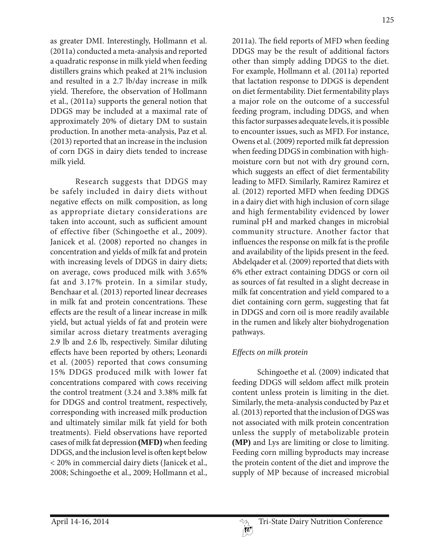as greater DMI. Interestingly, Hollmann et al. (2011a) conducted a meta-analysis and reported a quadratic response in milk yield when feeding distillers grains which peaked at 21% inclusion and resulted in a 2.7 lb/day increase in milk yield. Therefore, the observation of Hollmann et al., (2011a) supports the general notion that DDGS may be included at a maximal rate of approximately 20% of dietary DM to sustain production. In another meta-analysis, Paz et al. (2013) reported that an increase in the inclusion of corn DGS in dairy diets tended to increase milk yield.

Research suggests that DDGS may be safely included in dairy diets without negative effects on milk composition, as long as appropriate dietary considerations are taken into account, such as sufficient amount of effective fiber (Schingoethe et al., 2009). Janicek et al. (2008) reported no changes in concentration and yields of milk fat and protein with increasing levels of DDGS in dairy diets; on average, cows produced milk with 3.65% fat and 3.17% protein. In a similar study, Benchaar et al. (2013) reported linear decreases in milk fat and protein concentrations. These effects are the result of a linear increase in milk yield, but actual yields of fat and protein were similar across dietary treatments averaging 2.9 lb and 2.6 lb, respectively. Similar diluting effects have been reported by others; Leonardi et al. (2005) reported that cows consuming 15% DDGS produced milk with lower fat concentrations compared with cows receiving the control treatment (3.24 and 3.38% milk fat for DDGS and control treatment, respectively, corresponding with increased milk production and ultimately similar milk fat yield for both treatments). Field observations have reported cases of milk fat depression **(MFD)** when feeding DDGS, and the inclusion level is often kept below < 20% in commercial dairy diets (Janicek et al., 2008; Schingoethe et al., 2009; Hollmann et al.,

2011a). The field reports of MFD when feeding DDGS may be the result of additional factors other than simply adding DDGS to the diet. For example, Hollmann et al. (2011a) reported that lactation response to DDGS is dependent on diet fermentability. Diet fermentability plays a major role on the outcome of a successful feeding program, including DDGS, and when this factor surpasses adequate levels, it is possible to encounter issues, such as MFD. For instance, Owens et al. (2009) reported milk fat depression when feeding DDGS in combination with highmoisture corn but not with dry ground corn, which suggests an effect of diet fermentability leading to MFD. Similarly, Ramirez Ramirez et al. (2012) reported MFD when feeding DDGS in a dairy diet with high inclusion of corn silage and high fermentability evidenced by lower ruminal pH and marked changes in microbial community structure. Another factor that influences the response on milk fat is the profile and availability of the lipids present in the feed. Abdelqader et al. (2009) reported that diets with 6% ether extract containing DDGS or corn oil as sources of fat resulted in a slight decrease in milk fat concentration and yield compared to a diet containing corn germ, suggesting that fat in DDGS and corn oil is more readily available in the rumen and likely alter biohydrogenation pathways.

### *Effects on milk protein*

Schingoethe et al. (2009) indicated that feeding DDGS will seldom affect milk protein content unless protein is limiting in the diet. Similarly, the meta-analysis conducted by Paz et al. (2013) reported that the inclusion of DGS was not associated with milk protein concentration unless the supply of metabolizable protein **(MP)** and Lys are limiting or close to limiting. Feeding corn milling byproducts may increase the protein content of the diet and improve the supply of MP because of increased microbial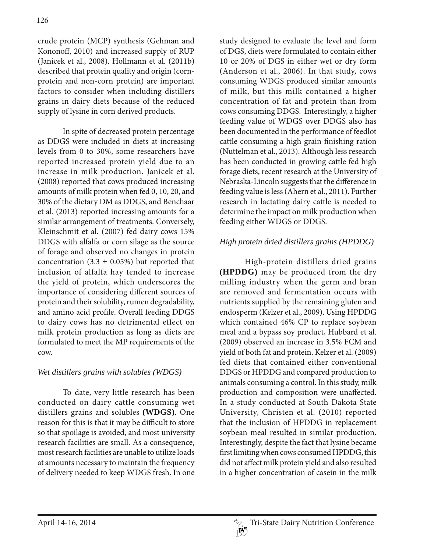crude protein (MCP) synthesis (Gehman and Kononoff, 2010) and increased supply of RUP (Janicek et al., 2008). Hollmann et al. (2011b) described that protein quality and origin (cornprotein and non-corn protein) are important factors to consider when including distillers grains in dairy diets because of the reduced supply of lysine in corn derived products.

In spite of decreased protein percentage as DDGS were included in diets at increasing levels from 0 to 30%, some researchers have reported increased protein yield due to an increase in milk production. Janicek et al. (2008) reported that cows produced increasing amounts of milk protein when fed 0, 10, 20, and 30% of the dietary DM as DDGS, and Benchaar et al. (2013) reported increasing amounts for a similar arrangement of treatments. Conversely, Kleinschmit et al. (2007) fed dairy cows 15% DDGS with alfalfa or corn silage as the source of forage and observed no changes in protein concentration (3.3  $\pm$  0.05%) but reported that inclusion of alfalfa hay tended to increase the yield of protein, which underscores the importance of considering different sources of protein and their solubility, rumen degradability, and amino acid profile. Overall feeding DDGS to dairy cows has no detrimental effect on milk protein production as long as diets are formulated to meet the MP requirements of the cow.

# *Wet distillers grains with solubles (WDGS)*

To date, very little research has been conducted on dairy cattle consuming wet distillers grains and solubles **(WDGS)**. One reason for this is that it may be difficult to store so that spoilage is avoided, and most university research facilities are small. As a consequence, most research facilities are unable to utilize loads at amounts necessary to maintain the frequency of delivery needed to keep WDGS fresh. In one study designed to evaluate the level and form of DGS, diets were formulated to contain either 10 or 20% of DGS in either wet or dry form (Anderson et al., 2006). In that study, cows consuming WDGS produced similar amounts of milk, but this milk contained a higher concentration of fat and protein than from cows consuming DDGS. Interestingly, a higher feeding value of WDGS over DDGS also has been documented in the performance of feedlot cattle consuming a high grain finishing ration (Nuttelman et al., 2013). Although less research has been conducted in growing cattle fed high forage diets, recent research at the University of Nebraska-Lincoln suggests that the difference in feeding value is less (Ahern et al., 2011). Further research in lactating dairy cattle is needed to determine the impact on milk production when feeding either WDGS or DDGS.

# *High protein dried distillers grains (HPDDG)*

High-protein distillers dried grains **(HPDDG)** may be produced from the dry milling industry when the germ and bran are removed and fermentation occurs with nutrients supplied by the remaining gluten and endosperm (Kelzer et al., 2009). Using HPDDG which contained 46% CP to replace soybean meal and a bypass soy product, Hubbard et al. (2009) observed an increase in 3.5% FCM and yield of both fat and protein. Kelzer et al. (2009) fed diets that contained either conventional DDGS or HPDDG and compared production to animals consuming a control. In this study, milk production and composition were unaffected. In a study conducted at South Dakota State University, Christen et al. (2010) reported that the inclusion of HPDDG in replacement soybean meal resulted in similar production. Interestingly, despite the fact that lysine became first limiting when cows consumed HPDDG, this did not affect milk protein yield and also resulted in a higher concentration of casein in the milk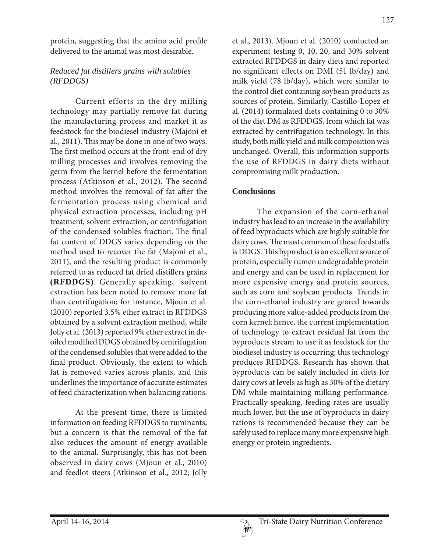protein, suggesting that the amino acid profile delivered to the animal was most desirable.

### *Reduced fat distillers grains with solubles (RFDDGS)*

Current efforts in the dry milling technology may partially remove fat during the manufacturing process and market it as feedstock for the biodiesel industry (Majoni et al., 2011). This may be done in one of two ways. The first method occurs at the front-end of dry milling processes and involves removing the germ from the kernel before the fermentation process (Atkinson et al., 2012). The second method involves the removal of fat after the fermentation process using chemical and physical extraction processes, including pH treatment, solvent extraction, or centrifugation of the condensed solubles fraction. The final fat content of DDGS varies depending on the method used to recover the fat (Majoni et al., 2011), and the resulting product is commonly referred to as reduced fat dried distillers grains **(RFDDGS)**. Generally speaking, solvent extraction has been noted to remove more fat than centrifugation; for instance, Mjoun et al. (2010) reported 3.5% ether extract in RFDDGS obtained by a solvent extraction method, while Jolly et al. (2013) reported 9% ether extract in deoiled modified DDGS obtained by centrifugation of the condensed solubles that were added to the final product. Obviously, the extent to which fat is removed varies across plants, and this underlines the importance of accurate estimates of feed characterization when balancing rations.

At the present time, there is limited information on feeding RFDDGS to ruminants, but a concern is that the removal of the fat also reduces the amount of energy available to the animal. Surprisingly, this has not been observed in dairy cows (Mjoun et al., 2010) and feedlot steers (Atkinson et al., 2012; Jolly

et al., 2013). Mjoun et al. (2010) conducted an experiment testing 0, 10, 20, and 30% solvent extracted RFDDGS in dairy diets and reported no significant effects on DMI (51 lb/day) and milk yield (78 lb/day), which were similar to the control diet containing soybean products as sources of protein. Similarly, Castillo-Lopez et al. (2014) formulated diets containing 0 to 30% of the diet DM as RFDDGS, from which fat was extracted by centrifugation technology. In this study, both milk yield and milk composition was unchanged. Overall, this information supports the use of RFDDGS in dairy diets without compromising milk production.

## **Conclusions**

The expansion of the corn-ethanol industry has lead to an increase in the availability of feed byproducts which are highly suitable for dairy cows. The most common of these feedstuffs is DDGS. This byproduct is an excellent source of protein, especially rumen undegradable protein and energy and can be used in replacement for more expensive energy and protein sources, such as corn and soybean products. Trends in the corn-ethanol industry are geared towards producing more value-added products from the corn kernel; hence, the current implementation of technology to extract residual fat from the byproducts stream to use it as feedstock for the biodiesel industry is occurring; this technology produces RFDDGS. Research has shown that byproducts can be safely included in diets for dairy cows at levels as high as 30% of the dietary DM while maintaining milking performance. Practically speaking, feeding rates are usually much lower, but the use of byproducts in dairy rations is recommended because they can be safely used to replace many more expensive high energy or protein ingredients.

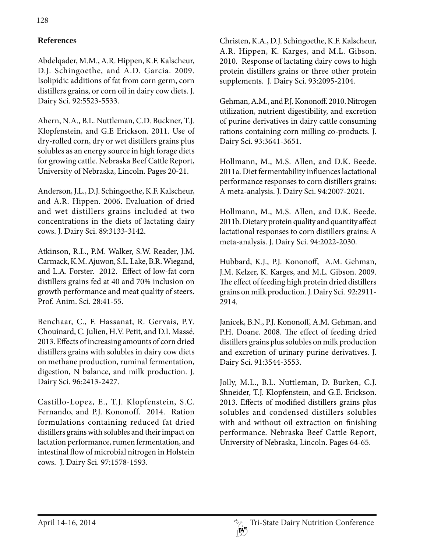# **References**

Abdelqader, M.M., A.R. Hippen, K.F. Kalscheur, D.J. Schingoethe, and A.D. Garcia. 2009. Isolipidic additions of fat from corn germ, corn distillers grains, or corn oil in dairy cow diets. J. Dairy Sci. 92:5523-5533.

Ahern, N.A., B.L. Nuttleman, C.D. Buckner, T.J. Klopfenstein, and G.E Erickson. 2011. Use of dry-rolled corn, dry or wet distillers grains plus solubles as an energy source in high forage diets for growing cattle. Nebraska Beef Cattle Report, University of Nebraska, Lincoln. Pages 20-21.

Anderson, J.L., D.J. Schingoethe, K.F. Kalscheur, and A.R. Hippen. 2006. Evaluation of dried and wet distillers grains included at two concentrations in the diets of lactating dairy cows. J. Dairy Sci. 89:3133-3142.

Atkinson, R.L., P.M. Walker, S.W. Reader, J.M. Carmack, K.M. Ajuwon, S.L. Lake, B.R. Wiegand, and L.A. Forster. 2012. Effect of low-fat corn distillers grains fed at 40 and 70% inclusion on growth performance and meat quality of steers. Prof. Anim. Sci. 28:41-55.

Benchaar, C., F. Hassanat, R. Gervais, P.Y. Chouinard, C. Julien, H.V. Petit, and D.I. Massé. 2013. Effects of increasing amounts of corn dried distillers grains with solubles in dairy cow diets on methane production, ruminal fermentation, digestion, N balance, and milk production. J. Dairy Sci. 96:2413-2427.

Castillo-Lopez, E., T.J. Klopfenstein, S.C. Fernando, and P.J. Kononoff. 2014. Ration formulations containing reduced fat dried distillers grains with solubles and their impact on lactation performance, rumen fermentation, and intestinal flow of microbial nitrogen in Holstein cows. J. Dairy Sci. 97:1578-1593.

Christen, K.A., D.J. Schingoethe, K.F. Kalscheur, A.R. Hippen, K. Karges, and M.L. Gibson. 2010. Response of lactating dairy cows to high protein distillers grains or three other protein supplements. J. Dairy Sci. 93:2095-2104.

Gehman, A.M., and P.J. Kononoff. 2010. Nitrogen utilization, nutrient digestibility, and excretion of purine derivatives in dairy cattle consuming rations containing corn milling co-products. J. Dairy Sci. 93:3641-3651.

Hollmann, M., M.S. Allen, and D.K. Beede. 2011a. Diet fermentability influences lactational performance responses to corn distillers grains: A meta-analysis. J. Dairy Sci. 94:2007-2021.

Hollmann, M., M.S. Allen, and D.K. Beede. 2011b. Dietary protein quality and quantity affect lactational responses to corn distillers grains: A meta-analysis. J. Dairy Sci. 94:2022-2030.

Hubbard, K.J., P.J. Kononoff, A.M. Gehman, J.M. Kelzer, K. Karges, and M.L. Gibson. 2009. The effect of feeding high protein dried distillers grains on milk production. J. Dairy Sci. 92:2911- 2914.

Janicek, B.N., P.J. Kononoff, A.M. Gehman, and P.H. Doane. 2008. The effect of feeding dried distillers grains plus solubles on milk production and excretion of urinary purine derivatives. J. Dairy Sci. 91:3544-3553.

Jolly, M.L., B.L. Nuttleman, D. Burken, C.J. Shneider, T.J. Klopfenstein, and G.E. Erickson. 2013. Effects of modified distillers grains plus solubles and condensed distillers solubles with and without oil extraction on finishing performance. Nebraska Beef Cattle Report, University of Nebraska, Lincoln. Pages 64-65.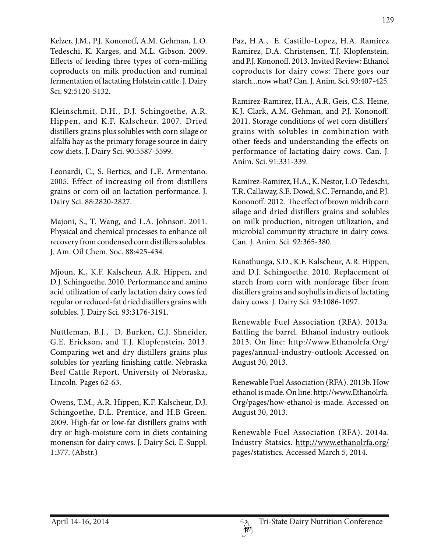Kelzer, J.M., P.J. Kononoff, A.M. Gehman, L.O. Tedeschi, K. Karges, and M.L. Gibson. 2009. Effects of feeding three types of corn-milling coproducts on milk production and ruminal fermentation of lactating Holstein cattle. J. Dairy Sci. 92:5120-5132.

Kleinschmit, D.H., D.J. Schingoethe, A.R. Hippen, and K.F. Kalscheur. 2007. Dried distillers grains plus solubles with corn silage or alfalfa hay as the primary forage source in dairy cow diets. J. Dairy Sci. 90:5587-5599.

Leonardi, C., S. Bertics, and L.E. Armentano. 2005. Effect of increasing oil from distillers grains or corn oil on lactation performance. J. Dairy Sci. 88:2820-2827.

Majoni, S., T. Wang, and L.A. Johnson. 2011. Physical and chemical processes to enhance oil recovery from condensed corn distillers solubles. J. Am. Oil Chem. Soc. 88:425-434.

Mjoun, K., K.F. Kalscheur, A.R. Hippen, and D.J. Schingoethe. 2010. Performance and amino acid utilization of early lactation dairy cows fed regular or reduced-fat dried distillers grains with solubles. J. Dairy Sci. 93:3176-3191.

Nuttleman, B.J., D. Burken, C.J. Shneider, G.E. Erickson, and T.J. Klopfenstein, 2013. Comparing wet and dry distillers grains plus solubles for yearling finishing cattle. Nebraska Beef Cattle Report, University of Nebraska, Lincoln. Pages 62-63.

Owens, T.M., A.R. Hippen, K.F. Kalscheur, D.J. Schingoethe, D.L. Prentice, and H.B Green. 2009. High-fat or low-fat distillers grains with dry or high-moisture corn in diets containing monensin for dairy cows. J. Dairy Sci. E-Suppl. 1:377. (Abstr.)

Paz, H.A., E. Castillo-Lopez, H.A. Ramirez Ramirez, D.A. Christensen, T.J. Klopfenstein, and P.J. Kononoff. 2013. Invited Review: Ethanol coproducts for dairy cows: There goes our starch...now what? Can. J. Anim. Sci. 93:407-425.

Ramirez-Ramirez, H.A., A.R. Geis, C.S. Heine, K.J. Clark, A.M. Gehman, and P.J. Kononoff. 2011. Storage conditions of wet corn distillers' grains with solubles in combination with other feeds and understanding the effects on performance of lactating dairy cows. Can. J. Anim. Sci. 91:331-339.

Ramirez-Ramirez, H.A., K. Nestor, L.O Tedeschi, T.R. Callaway, S.E. Dowd, S.C. Fernando, and P.J. Kononoff. 2012. The effect of brown midrib corn silage and dried distillers grains and solubles on milk production, nitrogen utilization, and microbial community structure in dairy cows. Can. J. Anim. Sci. 92:365-380.

Ranathunga, S.D., K.F. Kalscheur, A.R. Hippen, and D.J. Schingoethe. 2010. Replacement of starch from corn with nonforage fiber from distillers grains and soyhulls in diets of lactating dairy cows. J. Dairy Sci. 93:1086-1097.

Renewable Fuel Association (RFA). 2013a. Battling the barrel. Ethanol industry outlook 2013. On line: http://www.Ethanolrfa.Org/ pages/annual-industry-outlook Accessed on August 30, 2013.

Renewable Fuel Association (RFA). 2013b. How ethanol is made. On line: http://www.Ethanolrfa. Org/pages/how-ethanol-is-made. Accessed on August 30, 2013.

Renewable Fuel Association (RFA). 2014a. Industry Statsics. http://www.ethanolrfa.org/ pages/statistics. Accessed March 5, 2014.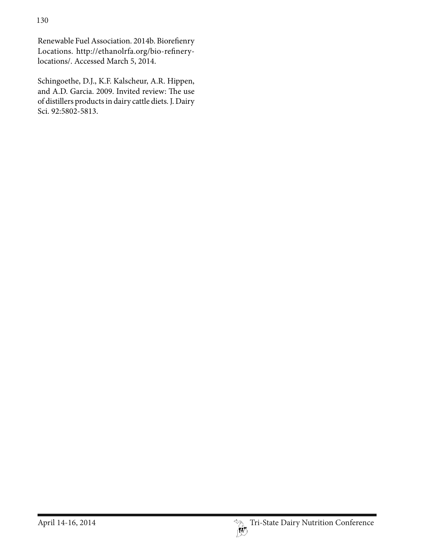Renewable Fuel Association. 2014b. Biorefienry Locations. http://ethanolrfa.org/bio-refinerylocations/. Accessed March 5, 2014.

Schingoethe, D.J., K.F. Kalscheur, A.R. Hippen, and A.D. Garcia. 2009. Invited review: The use of distillers products in dairy cattle diets. J. Dairy Sci. 92:5802-5813.